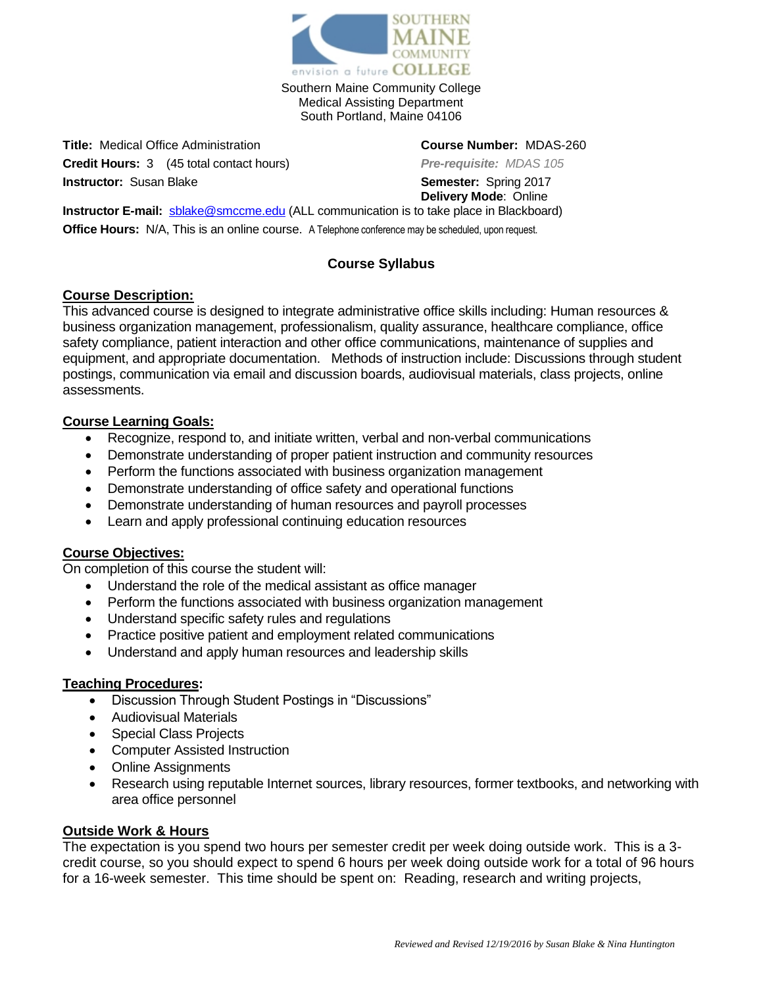

Southern Maine Community College Medical Assisting Department South Portland, Maine 04106

**Title:** Medical Office Administration **Course Number:** MDAS-260 **Credit Hours:** 3 (45 total contact hours) *Pre-requisite: MDAS 105* **Instructor:** Susan Blake **Semester:** Spring 2017

**Delivery Mode**: Online

**Instructor E-mail:** [sblake@smccme.edu](mailto:sblake@smccme.edu) (ALL communication is to take place in Blackboard) **Office Hours:** N/A, This is an online course. A Telephone conference may be scheduled, upon request.

# **Course Syllabus**

# **Course Description:**

This advanced course is designed to integrate administrative office skills including: Human resources & business organization management, professionalism, quality assurance, healthcare compliance, office safety compliance, patient interaction and other office communications, maintenance of supplies and equipment, and appropriate documentation. Methods of instruction include: Discussions through student postings, communication via email and discussion boards, audiovisual materials, class projects, online assessments.

# **Course Learning Goals:**

- Recognize, respond to, and initiate written, verbal and non-verbal communications
- Demonstrate understanding of proper patient instruction and community resources
- Perform the functions associated with business organization management
- Demonstrate understanding of office safety and operational functions
- Demonstrate understanding of human resources and payroll processes
- Learn and apply professional continuing education resources

# **Course Objectives:**

On completion of this course the student will:

- Understand the role of the medical assistant as office manager
- Perform the functions associated with business organization management
- Understand specific safety rules and regulations
- Practice positive patient and employment related communications
- Understand and apply human resources and leadership skills

## **Teaching Procedures:**

- Discussion Through Student Postings in "Discussions"
- Audiovisual Materials
- Special Class Projects
- Computer Assisted Instruction
- Online Assignments
- Research using reputable Internet sources, library resources, former textbooks, and networking with area office personnel

## **Outside Work & Hours**

The expectation is you spend two hours per semester credit per week doing outside work. This is a 3 credit course, so you should expect to spend 6 hours per week doing outside work for a total of 96 hours for a 16-week semester. This time should be spent on: Reading, research and writing projects,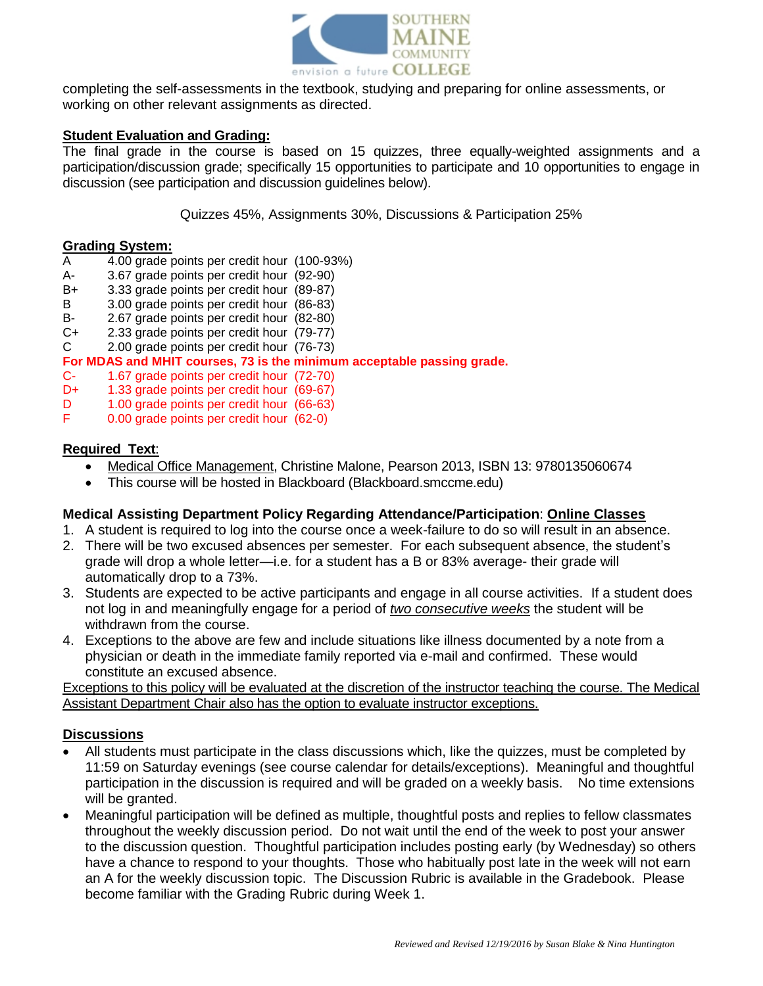

completing the self-assessments in the textbook, studying and preparing for online assessments, or working on other relevant assignments as directed.

#### **Student Evaluation and Grading:**

The final grade in the course is based on 15 quizzes, three equally-weighted assignments and a participation/discussion grade; specifically 15 opportunities to participate and 10 opportunities to engage in discussion (see participation and discussion guidelines below).

Quizzes 45%, Assignments 30%, Discussions & Participation 25%

#### **Grading System:**

- A 4.00 grade points per credit hour (100-93%)
- A- 3.67 grade points per credit hour (92-90)
- B+ 3.33 grade points per credit hour (89-87)
- B 3.00 grade points per credit hour (86-83)
- B- 2.67 grade points per credit hour (82-80)
- C+ 2.33 grade points per credit hour (79-77)
- C 2.00 grade points per credit hour (76-73)

#### **For MDAS and MHIT courses, 73 is the minimum acceptable passing grade.**

- C- 1.67 grade points per credit hour (72-70)
- D+ 1.33 grade points per credit hour (69-67)
- D 1.00 grade points per credit hour (66-63)<br>F 0.00 grade points per credit hour (62-0)
- 0.00 grade points per credit hour (62-0)

#### **Required Text**:

- Medical Office Management, Christine Malone, Pearson 2013, ISBN 13: 9780135060674
- This course will be hosted in Blackboard (Blackboard.smccme.edu)

#### **Medical Assisting Department Policy Regarding Attendance/Participation**: **Online Classes**

- 1. A student is required to log into the course once a week-failure to do so will result in an absence.
- 2. There will be two excused absences per semester. For each subsequent absence, the student's grade will drop a whole letter—i.e. for a student has a B or 83% average- their grade will automatically drop to a 73%.
- 3. Students are expected to be active participants and engage in all course activities. If a student does not log in and meaningfully engage for a period of *two consecutive weeks* the student will be withdrawn from the course.
- 4. Exceptions to the above are few and include situations like illness documented by a note from a physician or death in the immediate family reported via e-mail and confirmed. These would constitute an excused absence.

Exceptions to this policy will be evaluated at the discretion of the instructor teaching the course. The Medical Assistant Department Chair also has the option to evaluate instructor exceptions.

## **Discussions**

- All students must participate in the class discussions which, like the quizzes, must be completed by 11:59 on Saturday evenings (see course calendar for details/exceptions). Meaningful and thoughtful participation in the discussion is required and will be graded on a weekly basis. No time extensions will be granted.
- Meaningful participation will be defined as multiple, thoughtful posts and replies to fellow classmates throughout the weekly discussion period. Do not wait until the end of the week to post your answer to the discussion question. Thoughtful participation includes posting early (by Wednesday) so others have a chance to respond to your thoughts. Those who habitually post late in the week will not earn an A for the weekly discussion topic. The Discussion Rubric is available in the Gradebook. Please become familiar with the Grading Rubric during Week 1.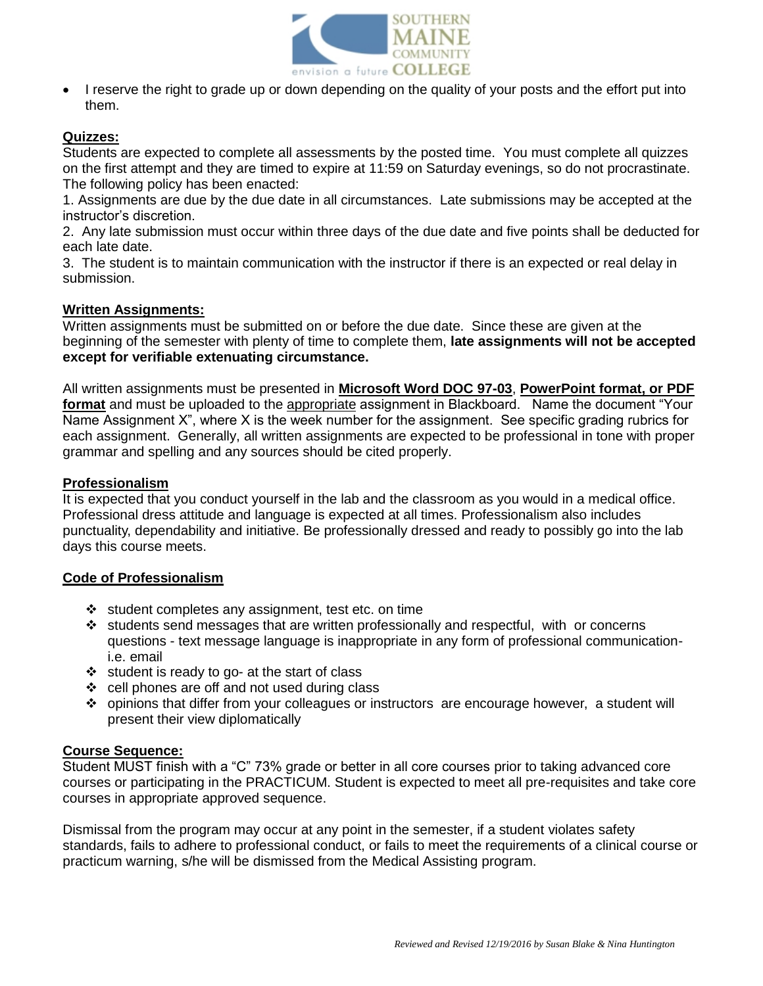

 I reserve the right to grade up or down depending on the quality of your posts and the effort put into them.

## **Quizzes:**

Students are expected to complete all assessments by the posted time. You must complete all quizzes on the first attempt and they are timed to expire at 11:59 on Saturday evenings, so do not procrastinate. The following policy has been enacted:

1. Assignments are due by the due date in all circumstances. Late submissions may be accepted at the instructor's discretion.

2. Any late submission must occur within three days of the due date and five points shall be deducted for each late date.

3. The student is to maintain communication with the instructor if there is an expected or real delay in submission.

## **Written Assignments:**

Written assignments must be submitted on or before the due date. Since these are given at the beginning of the semester with plenty of time to complete them, **late assignments will not be accepted except for verifiable extenuating circumstance.** 

All written assignments must be presented in **Microsoft Word DOC 97-03**, **PowerPoint format, or PDF format** and must be uploaded to the appropriate assignment in Blackboard. Name the document "Your Name Assignment X", where X is the week number for the assignment. See specific grading rubrics for each assignment. Generally, all written assignments are expected to be professional in tone with proper grammar and spelling and any sources should be cited properly.

## **Professionalism**

It is expected that you conduct yourself in the lab and the classroom as you would in a medical office. Professional dress attitude and language is expected at all times. Professionalism also includes punctuality, dependability and initiative. Be professionally dressed and ready to possibly go into the lab days this course meets.

## **Code of Professionalism**

- $\cdot$  student completes any assignment, test etc. on time
- $\cdot \cdot$  students send messages that are written professionally and respectful, with or concerns questions - text message language is inappropriate in any form of professional communicationi.e. email
- $\div$  student is ready to go- at the start of class
- $\div$  cell phones are off and not used during class
- opinions that differ from your colleagues or instructors are encourage however, a student will present their view diplomatically

#### **Course Sequence:**

Student MUST finish with a "C" 73% grade or better in all core courses prior to taking advanced core courses or participating in the PRACTICUM. Student is expected to meet all pre-requisites and take core courses in appropriate approved sequence.

Dismissal from the program may occur at any point in the semester, if a student violates safety standards, fails to adhere to professional conduct, or fails to meet the requirements of a clinical course or practicum warning, s/he will be dismissed from the Medical Assisting program.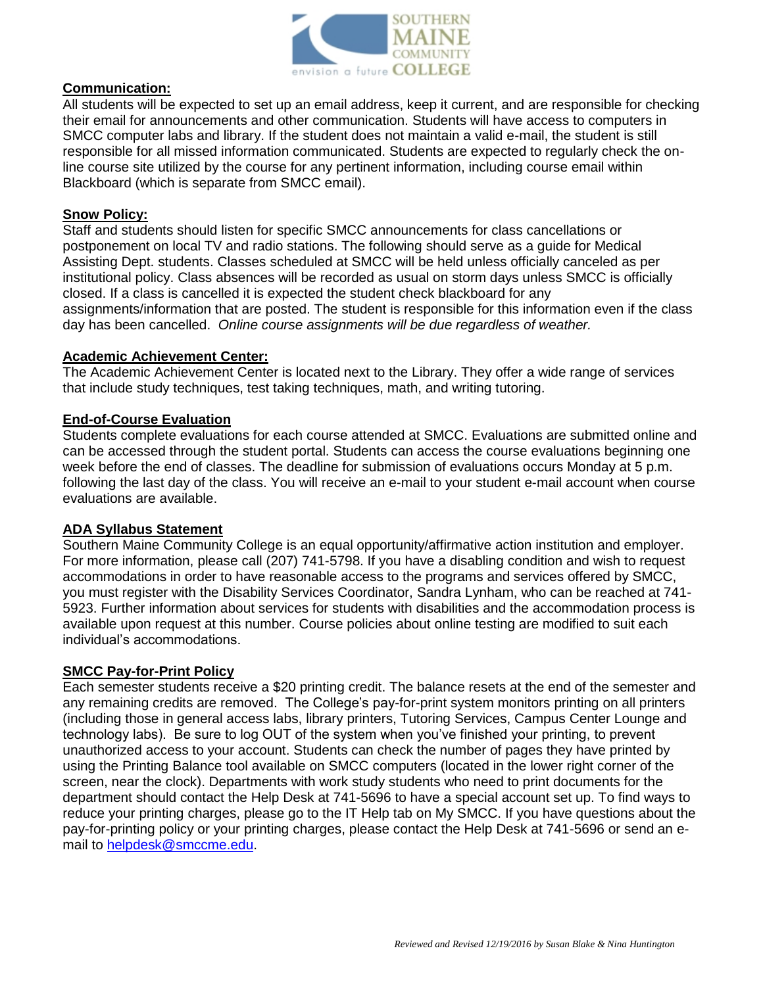

#### **Communication:**

All students will be expected to set up an email address, keep it current, and are responsible for checking their email for announcements and other communication. Students will have access to computers in SMCC computer labs and library. If the student does not maintain a valid e-mail, the student is still responsible for all missed information communicated. Students are expected to regularly check the online course site utilized by the course for any pertinent information, including course email within Blackboard (which is separate from SMCC email).

#### **Snow Policy:**

Staff and students should listen for specific SMCC announcements for class cancellations or postponement on local TV and radio stations. The following should serve as a guide for Medical Assisting Dept. students. Classes scheduled at SMCC will be held unless officially canceled as per institutional policy. Class absences will be recorded as usual on storm days unless SMCC is officially closed. If a class is cancelled it is expected the student check blackboard for any assignments/information that are posted. The student is responsible for this information even if the class day has been cancelled. *Online course assignments will be due regardless of weather.*

#### **Academic Achievement Center:**

The Academic Achievement Center is located next to the Library. They offer a wide range of services that include study techniques, test taking techniques, math, and writing tutoring.

#### **End-of-Course Evaluation**

Students complete evaluations for each course attended at SMCC. Evaluations are submitted online and can be accessed through the student portal. Students can access the course evaluations beginning one week before the end of classes. The deadline for submission of evaluations occurs Monday at 5 p.m. following the last day of the class. You will receive an e-mail to your student e-mail account when course evaluations are available.

#### **ADA Syllabus Statement**

Southern Maine Community College is an equal opportunity/affirmative action institution and employer. For more information, please call (207) 741-5798. If you have a disabling condition and wish to request accommodations in order to have reasonable access to the programs and services offered by SMCC, you must register with the Disability Services Coordinator, Sandra Lynham, who can be reached at 741- 5923. Further information about services for students with disabilities and the accommodation process is available upon request at this number. Course policies about online testing are modified to suit each individual's accommodations.

## **SMCC Pay-for-Print Policy**

Each semester students receive a \$20 printing credit. The balance resets at the end of the semester and any remaining credits are removed. The College's pay-for-print system monitors printing on all printers (including those in general access labs, library printers, Tutoring Services, Campus Center Lounge and technology labs). Be sure to log OUT of the system when you've finished your printing, to prevent unauthorized access to your account. Students can check the number of pages they have printed by using the Printing Balance tool available on SMCC computers (located in the lower right corner of the screen, near the clock). Departments with work study students who need to print documents for the department should contact the Help Desk at 741-5696 to have a special account set up. To find ways to reduce your printing charges, please go to the IT Help tab on My SMCC. If you have questions about the pay-for-printing policy or your printing charges, please contact the Help Desk at 741-5696 or send an email to [helpdesk@smccme.edu.](mailto:helpdesk@smccme.edu)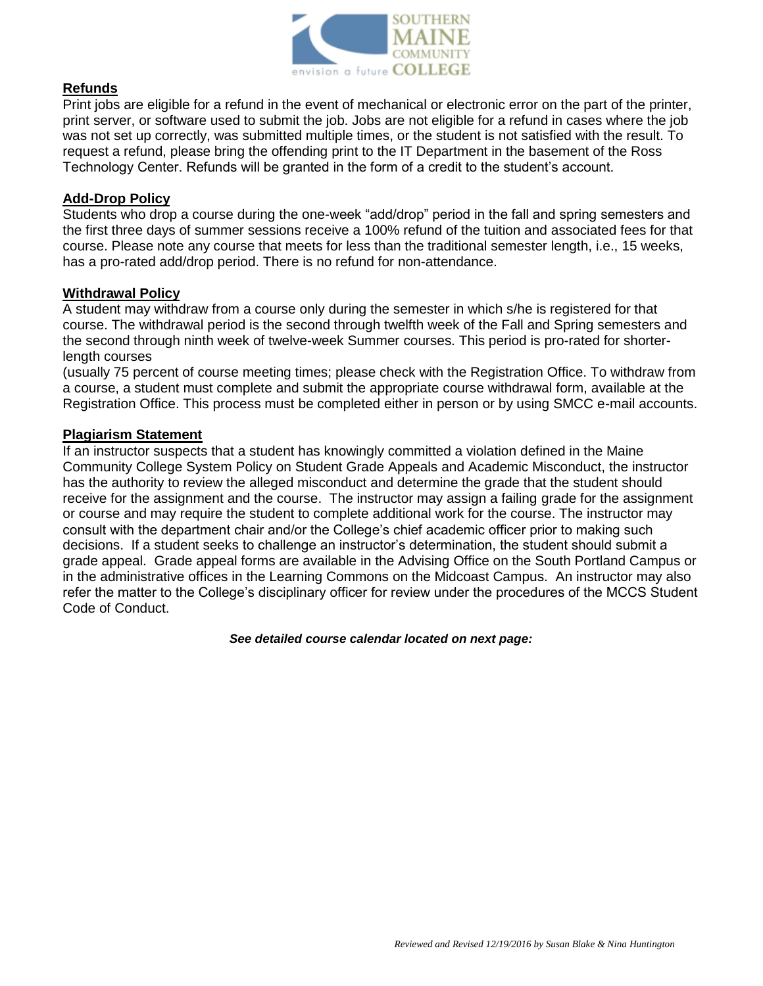

#### **Refunds**

Print jobs are eligible for a refund in the event of mechanical or electronic error on the part of the printer, print server, or software used to submit the job. Jobs are not eligible for a refund in cases where the job was not set up correctly, was submitted multiple times, or the student is not satisfied with the result. To request a refund, please bring the offending print to the IT Department in the basement of the Ross Technology Center. Refunds will be granted in the form of a credit to the student's account.

#### **Add-Drop Policy**

Students who drop a course during the one-week "add/drop" period in the fall and spring semesters and the first three days of summer sessions receive a 100% refund of the tuition and associated fees for that course. Please note any course that meets for less than the traditional semester length, i.e., 15 weeks, has a pro-rated add/drop period. There is no refund for non-attendance.

#### **Withdrawal Policy**

A student may withdraw from a course only during the semester in which s/he is registered for that course. The withdrawal period is the second through twelfth week of the Fall and Spring semesters and the second through ninth week of twelve-week Summer courses. This period is pro-rated for shorterlength courses

(usually 75 percent of course meeting times; please check with the Registration Office. To withdraw from a course, a student must complete and submit the appropriate course withdrawal form, available at the Registration Office. This process must be completed either in person or by using SMCC e-mail accounts.

#### **Plagiarism Statement**

If an instructor suspects that a student has knowingly committed a violation defined in the Maine Community College System Policy on Student Grade Appeals and Academic Misconduct, the instructor has the authority to review the alleged misconduct and determine the grade that the student should receive for the assignment and the course. The instructor may assign a failing grade for the assignment or course and may require the student to complete additional work for the course. The instructor may consult with the department chair and/or the College's chief academic officer prior to making such decisions. If a student seeks to challenge an instructor's determination, the student should submit a grade appeal. Grade appeal forms are available in the Advising Office on the South Portland Campus or in the administrative offices in the Learning Commons on the Midcoast Campus. An instructor may also refer the matter to the College's disciplinary officer for review under the procedures of the MCCS Student Code of Conduct.

*See detailed course calendar located on next page:*